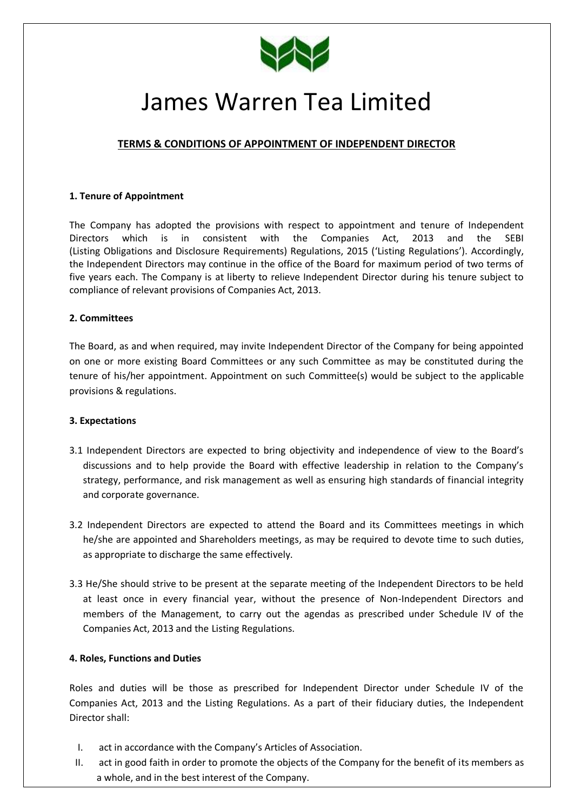

# James Warren Tea Limited

# **TERMS & CONDITIONS OF APPOINTMENT OF INDEPENDENT DIRECTOR**

# **1. Tenure of Appointment**

The Company has adopted the provisions with respect to appointment and tenure of Independent Directors which is in consistent with the Companies Act, 2013 and the SEBI (Listing Obligations and Disclosure Requirements) Regulations, 2015 ('Listing Regulations'). Accordingly, the Independent Directors may continue in the office of the Board for maximum period of two terms of five years each. The Company is at liberty to relieve Independent Director during his tenure subject to compliance of relevant provisions of Companies Act, 2013.

# **2. Committees**

The Board, as and when required, may invite Independent Director of the Company for being appointed on one or more existing Board Committees or any such Committee as may be constituted during the tenure of his/her appointment. Appointment on such Committee(s) would be subject to the applicable provisions & regulations.

# **3. Expectations**

- 3.1 Independent Directors are expected to bring objectivity and independence of view to the Board's discussions and to help provide the Board with effective leadership in relation to the Company's strategy, performance, and risk management as well as ensuring high standards of financial integrity and corporate governance.
- 3.2 Independent Directors are expected to attend the Board and its Committees meetings in which he/she are appointed and Shareholders meetings, as may be required to devote time to such duties, as appropriate to discharge the same effectively.
- 3.3 He/She should strive to be present at the separate meeting of the Independent Directors to be held at least once in every financial year, without the presence of Non-Independent Directors and members of the Management, to carry out the agendas as prescribed under Schedule IV of the Companies Act, 2013 and the Listing Regulations.

# **4. Roles, Functions and Duties**

Roles and duties will be those as prescribed for Independent Director under Schedule IV of the Companies Act, 2013 and the Listing Regulations. As a part of their fiduciary duties, the Independent Director shall:

- I. act in accordance with the Company's Articles of Association.
- II. act in good faith in order to promote the objects of the Company for the benefit of its members as a whole, and in the best interest of the Company.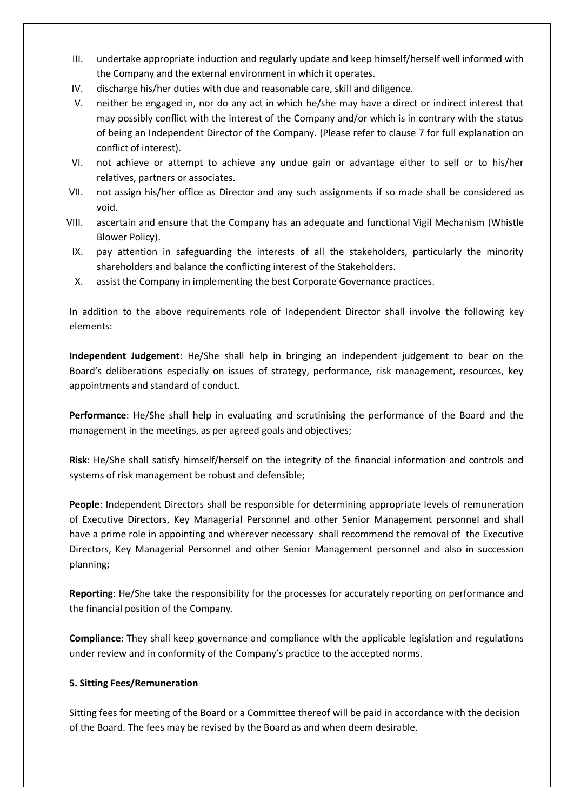- III. undertake appropriate induction and regularly update and keep himself/herself well informed with the Company and the external environment in which it operates.
- IV. discharge his/her duties with due and reasonable care, skill and diligence.
- V. neither be engaged in, nor do any act in which he/she may have a direct or indirect interest that may possibly conflict with the interest of the Company and/or which is in contrary with the status of being an Independent Director of the Company. (Please refer to clause 7 for full explanation on conflict of interest).
- VI. not achieve or attempt to achieve any undue gain or advantage either to self or to his/her relatives, partners or associates.
- VII. not assign his/her office as Director and any such assignments if so made shall be considered as void.
- VIII. ascertain and ensure that the Company has an adequate and functional Vigil Mechanism (Whistle Blower Policy).
- IX. pay attention in safeguarding the interests of all the stakeholders, particularly the minority shareholders and balance the conflicting interest of the Stakeholders.
- X. assist the Company in implementing the best Corporate Governance practices.

In addition to the above requirements role of Independent Director shall involve the following key elements:

**Independent Judgement**: He/She shall help in bringing an independent judgement to bear on the Board's deliberations especially on issues of strategy, performance, risk management, resources, key appointments and standard of conduct.

**Performance**: He/She shall help in evaluating and scrutinising the performance of the Board and the management in the meetings, as per agreed goals and objectives;

**Risk**: He/She shall satisfy himself/herself on the integrity of the financial information and controls and systems of risk management be robust and defensible;

**People**: Independent Directors shall be responsible for determining appropriate levels of remuneration of Executive Directors, Key Managerial Personnel and other Senior Management personnel and shall have a prime role in appointing and wherever necessary shall recommend the removal of the Executive Directors, Key Managerial Personnel and other Senior Management personnel and also in succession planning;

**Reporting**: He/She take the responsibility for the processes for accurately reporting on performance and the financial position of the Company.

**Compliance**: They shall keep governance and compliance with the applicable legislation and regulations under review and in conformity of the Company's practice to the accepted norms.

# **5. Sitting Fees/Remuneration**

Sitting fees for meeting of the Board or a Committee thereof will be paid in accordance with the decision of the Board. The fees may be revised by the Board as and when deem desirable.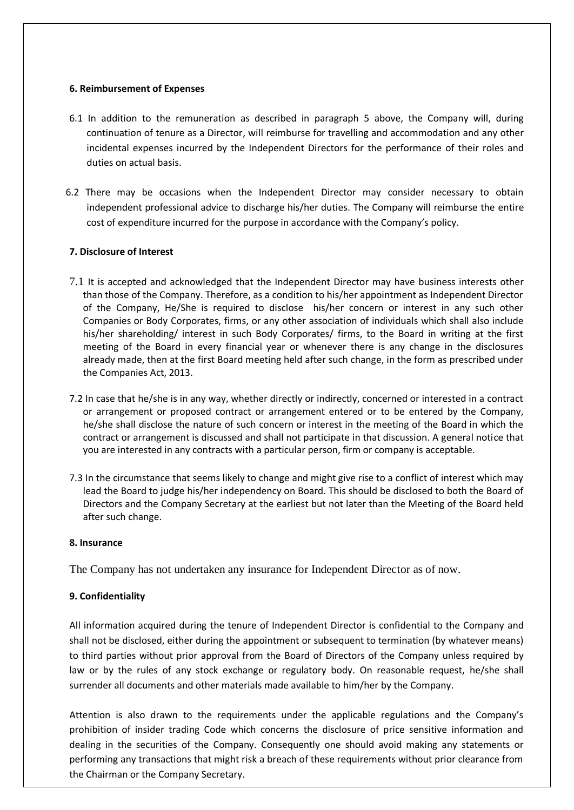#### **6. Reimbursement of Expenses**

- 6.1 In addition to the remuneration as described in paragraph 5 above, the Company will, during continuation of tenure as a Director, will reimburse for travelling and accommodation and any other incidental expenses incurred by the Independent Directors for the performance of their roles and duties on actual basis.
- 6.2 There may be occasions when the Independent Director may consider necessary to obtain independent professional advice to discharge his/her duties. The Company will reimburse the entire cost of expenditure incurred for the purpose in accordance with the Company's policy.

# **7. Disclosure of Interest**

- 7.1 It is accepted and acknowledged that the Independent Director may have business interests other than those of the Company. Therefore, as a condition to his/her appointment as Independent Director of the Company, He/She is required to disclose his/her concern or interest in any such other Companies or Body Corporates, firms, or any other association of individuals which shall also include his/her shareholding/ interest in such Body Corporates/ firms, to the Board in writing at the first meeting of the Board in every financial year or whenever there is any change in the disclosures already made, then at the first Board meeting held after such change, in the form as prescribed under the Companies Act, 2013.
- 7.2 In case that he/she is in any way, whether directly or indirectly, concerned or interested in a contract or arrangement or proposed contract or arrangement entered or to be entered by the Company, he/she shall disclose the nature of such concern or interest in the meeting of the Board in which the contract or arrangement is discussed and shall not participate in that discussion. A general notice that you are interested in any contracts with a particular person, firm or company is acceptable.
- 7.3 In the circumstance that seems likely to change and might give rise to a conflict of interest which may lead the Board to judge his/her independency on Board. This should be disclosed to both the Board of Directors and the Company Secretary at the earliest but not later than the Meeting of the Board held after such change.

#### **8. Insurance**

The Company has not undertaken any insurance for Independent Director as of now.

# **9. Confidentiality**

All information acquired during the tenure of Independent Director is confidential to the Company and shall not be disclosed, either during the appointment or subsequent to termination (by whatever means) to third parties without prior approval from the Board of Directors of the Company unless required by law or by the rules of any stock exchange or regulatory body. On reasonable request, he/she shall surrender all documents and other materials made available to him/her by the Company.

Attention is also drawn to the requirements under the applicable regulations and the Company's prohibition of insider trading Code which concerns the disclosure of price sensitive information and dealing in the securities of the Company. Consequently one should avoid making any statements or performing any transactions that might risk a breach of these requirements without prior clearance from the Chairman or the Company Secretary.